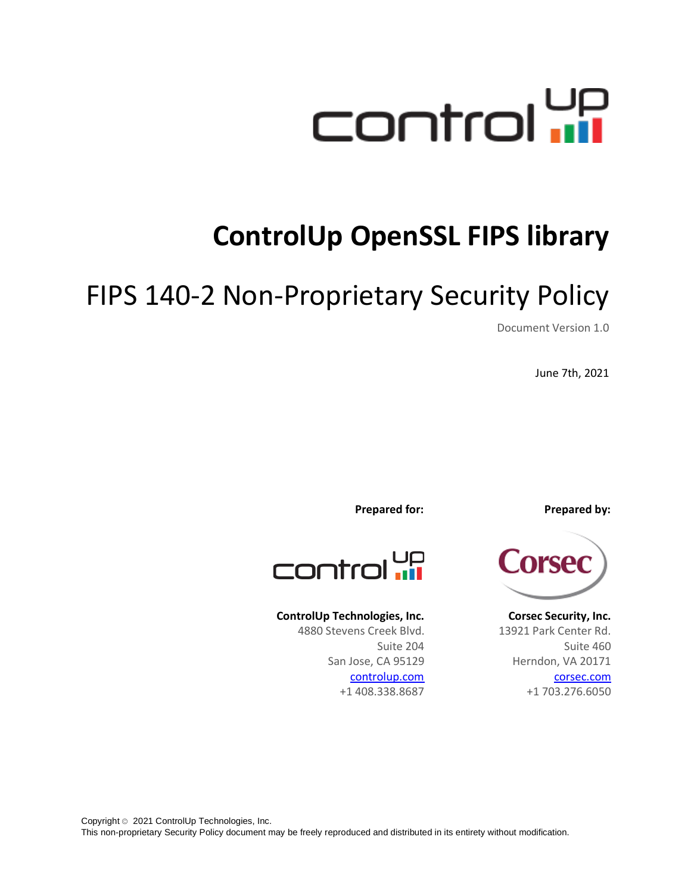

# **ControlUp OpenSSL FIPS library**

# FIPS 140-2 Non-Proprietary Security Policy

Document Version 1.0

June 7th, 2021



**Corsec Security, Inc.** 13921 Park Center Rd. Suite 460 Herndon, VA 20171 corsec.com +1 703.276.6050

**Prepared for: Prepared by:**

control up

#### **ControlUp Technologies, Inc.**

4880 Stevens Creek Blvd. Suite 204 San Jose, CA 95129 controlup.com +1 408.338.8687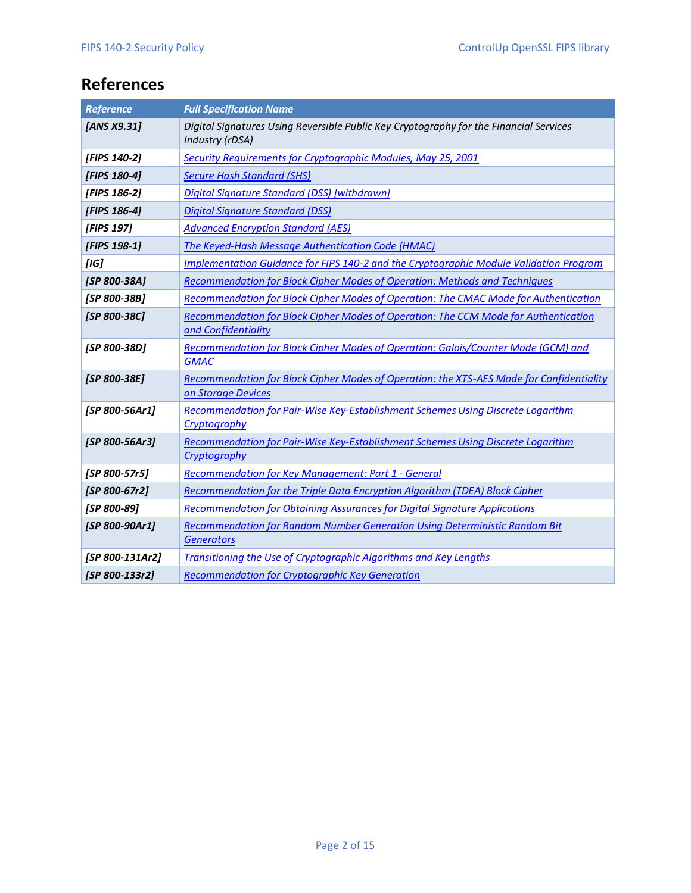## <span id="page-1-0"></span>**References**

| <b>Reference</b> | <b>Full Specification Name</b>                                                                                 |  |
|------------------|----------------------------------------------------------------------------------------------------------------|--|
| [ANS X9.31]      | Digital Signatures Using Reversible Public Key Cryptography for the Financial Services<br>Industry (rDSA)      |  |
| [FIPS 140-2]     | Security Requirements for Cryptographic Modules, May 25, 2001                                                  |  |
| [FIPS 180-4]     | <b>Secure Hash Standard (SHS)</b>                                                                              |  |
| [FIPS 186-2]     | Digital Signature Standard (DSS) [withdrawn]                                                                   |  |
| [FIPS 186-4]     | <b>Digital Signature Standard (DSS)</b>                                                                        |  |
| [FIPS 197]       | <b>Advanced Encryption Standard (AES)</b>                                                                      |  |
| [FIPS 198-1]     | The Keyed-Hash Message Authentication Code (HMAC)                                                              |  |
| [IG]             | Implementation Guidance for FIPS 140-2 and the Cryptographic Module Validation Program                         |  |
| [SP 800-38A]     | Recommendation for Block Cipher Modes of Operation: Methods and Techniques                                     |  |
| [SP 800-38B]     | Recommendation for Block Cipher Modes of Operation: The CMAC Mode for Authentication                           |  |
| [SP 800-38C]     | Recommendation for Block Cipher Modes of Operation: The CCM Mode for Authentication<br>and Confidentiality     |  |
| [SP 800-38D]     | Recommendation for Block Cipher Modes of Operation: Galois/Counter Mode (GCM) and<br><b>GMAC</b>               |  |
| [SP 800-38E]     | Recommendation for Block Cipher Modes of Operation: the XTS-AES Mode for Confidentiality<br>on Storage Devices |  |
| [SP 800-56Ar1]   | Recommendation for Pair-Wise Key-Establishment Schemes Using Discrete Logarithm<br>Cryptography                |  |
| [SP 800-56Ar3]   | Recommendation for Pair-Wise Key-Establishment Schemes Using Discrete Logarithm<br>Cryptography                |  |
| [SP 800-57r5]    | <b>Recommendation for Key Management: Part 1 - General</b>                                                     |  |
| [SP 800-67r2]    | Recommendation for the Triple Data Encryption Algorithm (TDEA) Block Cipher                                    |  |
| [SP 800-89]      | Recommendation for Obtaining Assurances for Digital Signature Applications                                     |  |
| [SP 800-90Ar1]   | Recommendation for Random Number Generation Using Deterministic Random Bit<br><b>Generators</b>                |  |
| [SP 800-131Ar2]  | Transitioning the Use of Cryptographic Algorithms and Key Lengths                                              |  |
| [SP 800-133r2]   | <b>Recommendation for Cryptographic Key Generation</b>                                                         |  |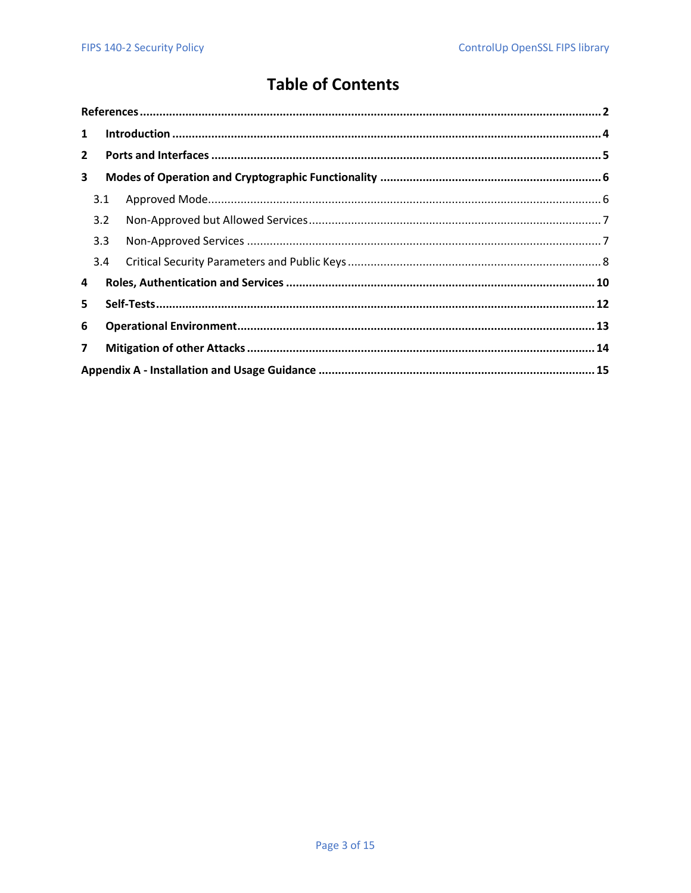## **Table of Contents**

| $\mathbf{1}$   |     |  |  |  |
|----------------|-----|--|--|--|
| $2^{\circ}$    |     |  |  |  |
| 3              |     |  |  |  |
|                | 3.1 |  |  |  |
|                | 3.2 |  |  |  |
|                | 3.3 |  |  |  |
|                | 3.4 |  |  |  |
| 4              |     |  |  |  |
| 5              |     |  |  |  |
| 6              |     |  |  |  |
| $\overline{7}$ |     |  |  |  |
|                |     |  |  |  |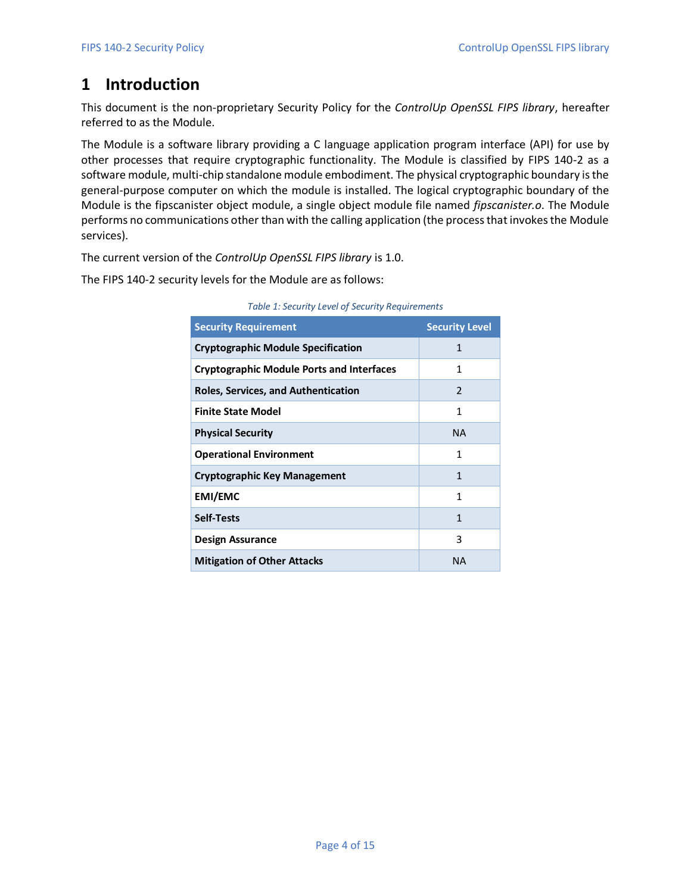## <span id="page-3-0"></span>**1 Introduction**

This document is the non-proprietary Security Policy for the *ControlUp OpenSSL FIPS library*, hereafter referred to as the Module.

The Module is a software library providing a C language application program interface (API) for use by other processes that require cryptographic functionality. The Module is classified by FIPS 140-2 as a software module, multi-chip standalone module embodiment. The physical cryptographic boundary is the general-purpose computer on which the module is installed. The logical cryptographic boundary of the Module is the fipscanister object module, a single object module file named *fipscanister.o*. The Module performs no communications other than with the calling application (the process that invokes the Module services).

The current version of the *ControlUp OpenSSL FIPS library* is 1.0.

The FIPS 140-2 security levels for the Module are as follows:

| <b>Security Requirement</b>                      | <b>Security Level</b> |
|--------------------------------------------------|-----------------------|
| <b>Cryptographic Module Specification</b>        | 1                     |
| <b>Cryptographic Module Ports and Interfaces</b> | 1                     |
| <b>Roles, Services, and Authentication</b>       | $\mathcal{P}$         |
| <b>Finite State Model</b>                        | 1                     |
| <b>Physical Security</b>                         | <b>NA</b>             |
| <b>Operational Environment</b>                   | 1                     |
| <b>Cryptographic Key Management</b>              | 1                     |
| <b>EMI/EMC</b>                                   | 1                     |
| <b>Self-Tests</b>                                | 1                     |
| <b>Design Assurance</b>                          | 3                     |
| <b>Mitigation of Other Attacks</b>               | <b>NA</b>             |

*Table 1: Security Level of Security Requirements*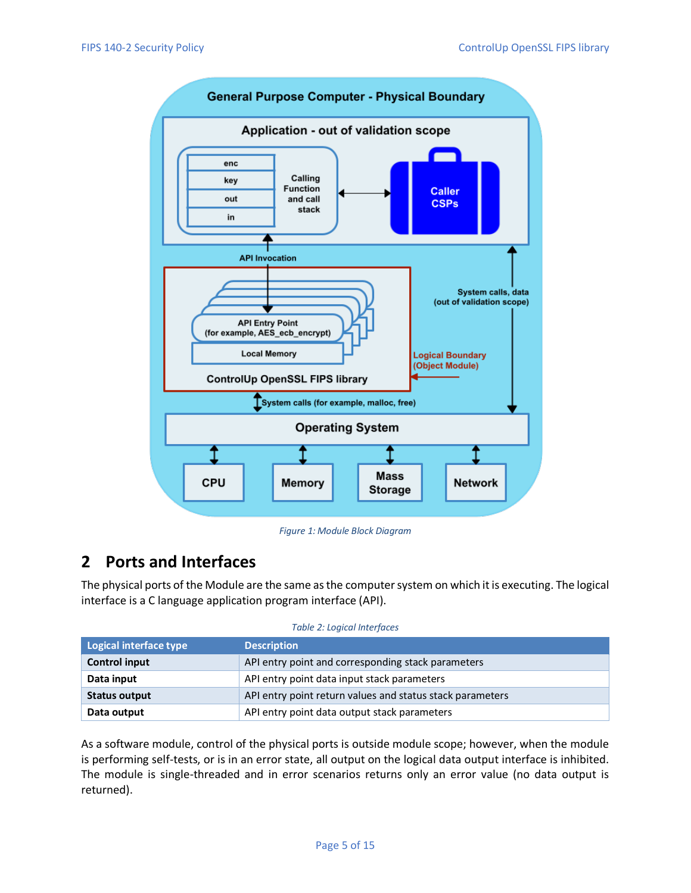

*Figure 1: Module Block Diagram*

## <span id="page-4-0"></span>**2 Ports and Interfaces**

The physical ports of the Module are the same as the computer system on which it is executing. The logical interface is a C language application program interface (API).

| Table 2: Logical Interfaces |  |
|-----------------------------|--|
|-----------------------------|--|

| Logical interface type                                                     | <b>Description</b>                                        |  |
|----------------------------------------------------------------------------|-----------------------------------------------------------|--|
| API entry point and corresponding stack parameters<br><b>Control input</b> |                                                           |  |
| Data input                                                                 | API entry point data input stack parameters               |  |
| <b>Status output</b>                                                       | API entry point return values and status stack parameters |  |
| Data output                                                                | API entry point data output stack parameters              |  |

As a software module, control of the physical ports is outside module scope; however, when the module is performing self-tests, or is in an error state, all output on the logical data output interface is inhibited. The module is single-threaded and in error scenarios returns only an error value (no data output is returned).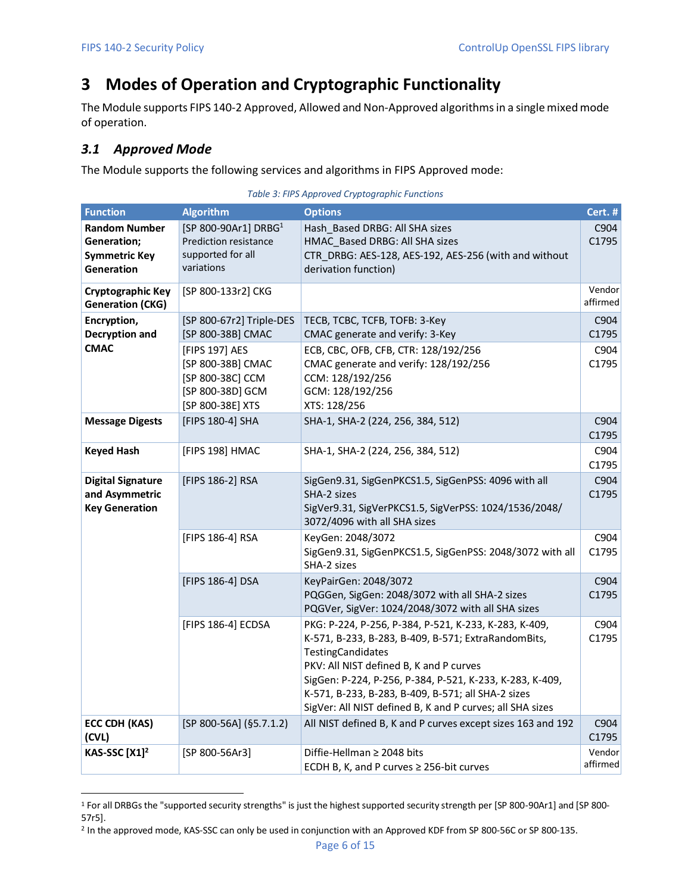## <span id="page-5-0"></span>**3 Modes of Operation and Cryptographic Functionality**

The Module supports FIPS 140-2 Approved, Allowed and Non-Approved algorithms in a single mixed mode of operation.

### <span id="page-5-1"></span>*3.1 Approved Mode*

The Module supports the following services and algorithms in FIPS Approved mode:

<span id="page-5-2"></span>

| <b>Function</b>                                                                         | <b>Algorithm</b>                                                                                    | <b>Options</b>                                                                                                                                                                                                                                                                                                                                              | Cert. #            |
|-----------------------------------------------------------------------------------------|-----------------------------------------------------------------------------------------------------|-------------------------------------------------------------------------------------------------------------------------------------------------------------------------------------------------------------------------------------------------------------------------------------------------------------------------------------------------------------|--------------------|
| <b>Random Number</b><br><b>Generation;</b><br><b>Symmetric Key</b><br><b>Generation</b> | [SP 800-90Ar1] DRBG <sup>1</sup><br><b>Prediction resistance</b><br>supported for all<br>variations | Hash_Based DRBG: All SHA sizes<br>HMAC Based DRBG: All SHA sizes<br>CTR_DRBG: AES-128, AES-192, AES-256 (with and without<br>derivation function)                                                                                                                                                                                                           | C904<br>C1795      |
| Cryptographic Key<br><b>Generation (CKG)</b>                                            | [SP 800-133r2] CKG                                                                                  |                                                                                                                                                                                                                                                                                                                                                             | Vendor<br>affirmed |
| Encryption,<br>Decryption and                                                           | [SP 800-67r2] Triple-DES<br>[SP 800-38B] CMAC                                                       | TECB, TCBC, TCFB, TOFB: 3-Key<br>CMAC generate and verify: 3-Key                                                                                                                                                                                                                                                                                            | C904<br>C1795      |
| <b>CMAC</b>                                                                             | [FIPS 197] AES<br>[SP 800-38B] CMAC<br>[SP 800-38C] CCM<br>[SP 800-38D] GCM<br>[SP 800-38E] XTS     | ECB, CBC, OFB, CFB, CTR: 128/192/256<br>CMAC generate and verify: 128/192/256<br>CCM: 128/192/256<br>GCM: 128/192/256<br>XTS: 128/256                                                                                                                                                                                                                       | C904<br>C1795      |
| <b>Message Digests</b>                                                                  | [FIPS 180-4] SHA                                                                                    | SHA-1, SHA-2 (224, 256, 384, 512)                                                                                                                                                                                                                                                                                                                           | C904<br>C1795      |
| <b>Keyed Hash</b>                                                                       | [FIPS 198] HMAC                                                                                     | SHA-1, SHA-2 (224, 256, 384, 512)                                                                                                                                                                                                                                                                                                                           | C904<br>C1795      |
| <b>Digital Signature</b><br>and Asymmetric<br><b>Key Generation</b>                     | [FIPS 186-2] RSA                                                                                    | SigGen9.31, SigGenPKCS1.5, SigGenPSS: 4096 with all<br>SHA-2 sizes<br>SigVer9.31, SigVerPKCS1.5, SigVerPSS: 1024/1536/2048/<br>3072/4096 with all SHA sizes                                                                                                                                                                                                 | C904<br>C1795      |
|                                                                                         | [FIPS 186-4] RSA                                                                                    | KeyGen: 2048/3072<br>SigGen9.31, SigGenPKCS1.5, SigGenPSS: 2048/3072 with all<br>SHA-2 sizes                                                                                                                                                                                                                                                                | C904<br>C1795      |
|                                                                                         | [FIPS 186-4] DSA                                                                                    | KeyPairGen: 2048/3072<br>PQGGen, SigGen: 2048/3072 with all SHA-2 sizes<br>PQGVer, SigVer: 1024/2048/3072 with all SHA sizes                                                                                                                                                                                                                                | C904<br>C1795      |
|                                                                                         | [FIPS 186-4] ECDSA                                                                                  | PKG: P-224, P-256, P-384, P-521, K-233, K-283, K-409,<br>K-571, B-233, B-283, B-409, B-571; ExtraRandomBits,<br>TestingCandidates<br>PKV: All NIST defined B, K and P curves<br>SigGen: P-224, P-256, P-384, P-521, K-233, K-283, K-409,<br>K-571, B-233, B-283, B-409, B-571; all SHA-2 sizes<br>SigVer: All NIST defined B, K and P curves; all SHA sizes | C904<br>C1795      |
| <b>ECC CDH (KAS)</b><br>(CVL)                                                           | $[SP 800-56A]$ (§5.7.1.2)                                                                           | All NIST defined B, K and P curves except sizes 163 and 192                                                                                                                                                                                                                                                                                                 | C904<br>C1795      |
| KAS-SSC [X1] <sup>2</sup>                                                               | [SP 800-56Ar3]                                                                                      | Diffie-Hellman $\geq$ 2048 bits<br>ECDH B, K, and P curves ≥ 256-bit curves                                                                                                                                                                                                                                                                                 | Vendor<br>affirmed |

|  | Table 3: FIPS Approved Cryptographic Functions |
|--|------------------------------------------------|
|--|------------------------------------------------|

<sup>1</sup> For all DRBGs the "supported security strengths" is just the highest supported security strength per [SP 800-90Ar1] and [SP 800- 57r5].

<sup>2</sup> In the approved mode, KAS-SSC can only be used in conjunction with an Approved KDF from SP 800-56C or SP 800-135.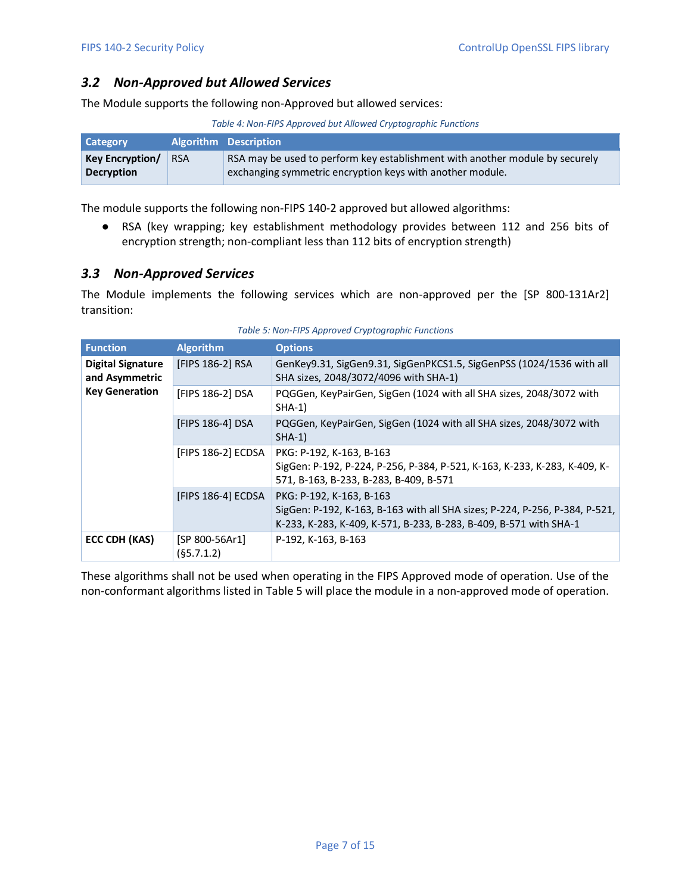### <span id="page-6-0"></span>*3.2 Non-Approved but Allowed Services*

The Module supports the following non-Approved but allowed services:

*Table 4: Non-FIPS Approved but Allowed Cryptographic Functions*

| Category               |            | <b>Algorithm Description</b>                                                 |
|------------------------|------------|------------------------------------------------------------------------------|
| <b>Key Encryption/</b> | <b>RSA</b> | RSA may be used to perform key establishment with another module by securely |
| <b>Decryption</b>      |            | exchanging symmetric encryption keys with another module.                    |

The module supports the following non-FIPS 140-2 approved but allowed algorithms:

● RSA (key wrapping; key establishment methodology provides between 112 and 256 bits of encryption strength; non-compliant less than 112 bits of encryption strength)

#### <span id="page-6-1"></span>*3.3 Non-Approved Services*

The Module implements the following services which are non-approved per the [SP 800-131Ar2] transition:

<span id="page-6-2"></span>

| <b>Function</b>                            | <b>Algorithm</b>             | <b>Options</b>                                                                                                                                                               |
|--------------------------------------------|------------------------------|------------------------------------------------------------------------------------------------------------------------------------------------------------------------------|
| <b>Digital Signature</b><br>and Asymmetric | [FIPS 186-2] RSA             | GenKey9.31, SigGen9.31, SigGenPKCS1.5, SigGenPSS (1024/1536 with all<br>SHA sizes, 2048/3072/4096 with SHA-1)                                                                |
| <b>Key Generation</b>                      | [FIPS 186-2] DSA             | PQGGen, KeyPairGen, SigGen (1024 with all SHA sizes, 2048/3072 with<br>$SHA-1)$                                                                                              |
|                                            | [FIPS 186-4] DSA             | PQGGen, KeyPairGen, SigGen (1024 with all SHA sizes, 2048/3072 with<br>$SHA-1)$                                                                                              |
|                                            | [FIPS 186-2] ECDSA           | PKG: P-192, K-163, B-163<br>SigGen: P-192, P-224, P-256, P-384, P-521, K-163, K-233, K-283, K-409, K-<br>571, B-163, B-233, B-283, B-409, B-571                              |
|                                            | [FIPS 186-4] ECDSA           | PKG: P-192, K-163, B-163<br>SigGen: P-192, K-163, B-163 with all SHA sizes; P-224, P-256, P-384, P-521,<br>K-233, K-283, K-409, K-571, B-233, B-283, B-409, B-571 with SHA-1 |
| ECC CDH (KAS)                              | [SP 800-56Ar1]<br>(§5.7.1.2) | P-192, K-163, B-163                                                                                                                                                          |

*Table 5: Non-FIPS Approved Cryptographic Functions*

These algorithms shall not be used when operating in the FIPS Approved mode of operation. Use of the non-conformant algorithms listed i[n Table 5](#page-6-2) will place the module in a non-approved mode of operation.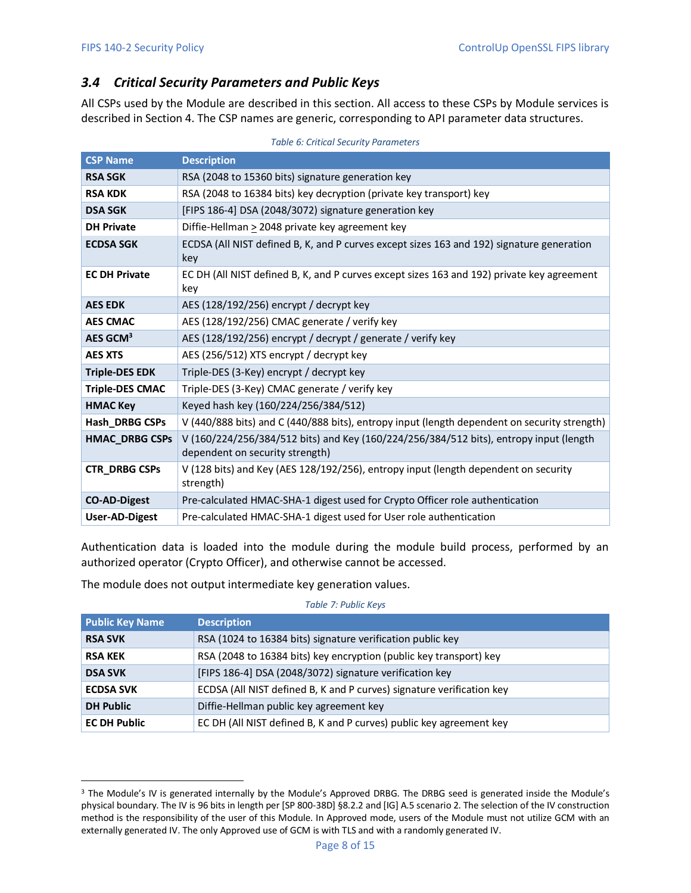## <span id="page-7-0"></span>*3.4 Critical Security Parameters and Public Keys*

All CSPs used by the Module are described in this section. All access to these CSPs by Module services is described in Section 4. The CSP names are generic, corresponding to API parameter data structures.

| <b>CSP Name</b>        | <b>Description</b>                                                                                                        |
|------------------------|---------------------------------------------------------------------------------------------------------------------------|
| <b>RSA SGK</b>         | RSA (2048 to 15360 bits) signature generation key                                                                         |
| <b>RSA KDK</b>         | RSA (2048 to 16384 bits) key decryption (private key transport) key                                                       |
| <b>DSA SGK</b>         | [FIPS 186-4] DSA (2048/3072) signature generation key                                                                     |
| <b>DH Private</b>      | Diffie-Hellman $\geq$ 2048 private key agreement key                                                                      |
| <b>ECDSA SGK</b>       | ECDSA (All NIST defined B, K, and P curves except sizes 163 and 192) signature generation<br>key                          |
| <b>EC DH Private</b>   | EC DH (All NIST defined B, K, and P curves except sizes 163 and 192) private key agreement<br>key                         |
| <b>AES EDK</b>         | AES (128/192/256) encrypt / decrypt key                                                                                   |
| <b>AES CMAC</b>        | AES (128/192/256) CMAC generate / verify key                                                                              |
| AES GCM <sup>3</sup>   | AES (128/192/256) encrypt / decrypt / generate / verify key                                                               |
| <b>AES XTS</b>         | AES (256/512) XTS encrypt / decrypt key                                                                                   |
| <b>Triple-DES EDK</b>  | Triple-DES (3-Key) encrypt / decrypt key                                                                                  |
| <b>Triple-DES CMAC</b> | Triple-DES (3-Key) CMAC generate / verify key                                                                             |
| <b>HMAC Key</b>        | Keyed hash key (160/224/256/384/512)                                                                                      |
| Hash_DRBG CSPs         | V (440/888 bits) and C (440/888 bits), entropy input (length dependent on security strength)                              |
| <b>HMAC DRBG CSPs</b>  | V (160/224/256/384/512 bits) and Key (160/224/256/384/512 bits), entropy input (length<br>dependent on security strength) |
| <b>CTR_DRBG CSPs</b>   | V (128 bits) and Key (AES 128/192/256), entropy input (length dependent on security<br>strength)                          |
| <b>CO-AD-Digest</b>    | Pre-calculated HMAC-SHA-1 digest used for Crypto Officer role authentication                                              |
| <b>User-AD-Digest</b>  | Pre-calculated HMAC-SHA-1 digest used for User role authentication                                                        |

*Table 6: Critical Security Parameters*

Authentication data is loaded into the module during the module build process, performed by an authorized operator (Crypto Officer), and otherwise cannot be accessed.

The module does not output intermediate key generation values.

#### *Table 7: Public Keys*

| <b>Public Key Name</b>                                                                    | <b>Description</b>                                                  |  |
|-------------------------------------------------------------------------------------------|---------------------------------------------------------------------|--|
| <b>RSA SVK</b>                                                                            | RSA (1024 to 16384 bits) signature verification public key          |  |
| <b>RSA KEK</b>                                                                            | RSA (2048 to 16384 bits) key encryption (public key transport) key  |  |
| <b>DSA SVK</b>                                                                            | [FIPS 186-4] DSA (2048/3072) signature verification key             |  |
| ECDSA (All NIST defined B, K and P curves) signature verification key<br><b>ECDSA SVK</b> |                                                                     |  |
| <b>DH Public</b>                                                                          | Diffie-Hellman public key agreement key                             |  |
| <b>EC DH Public</b>                                                                       | EC DH (All NIST defined B, K and P curves) public key agreement key |  |

<sup>&</sup>lt;sup>3</sup> The Module's IV is generated internally by the Module's Approved DRBG. The DRBG seed is generated inside the Module's physical boundary. The IV is 96 bits in length per [SP 800-38D] §8.2.2 and [IG] A.5 scenario 2. The selection of the IV construction method is the responsibility of the user of this Module. In Approved mode, users of the Module must not utilize GCM with an externally generated IV. The only Approved use of GCM is with TLS and with a randomly generated IV.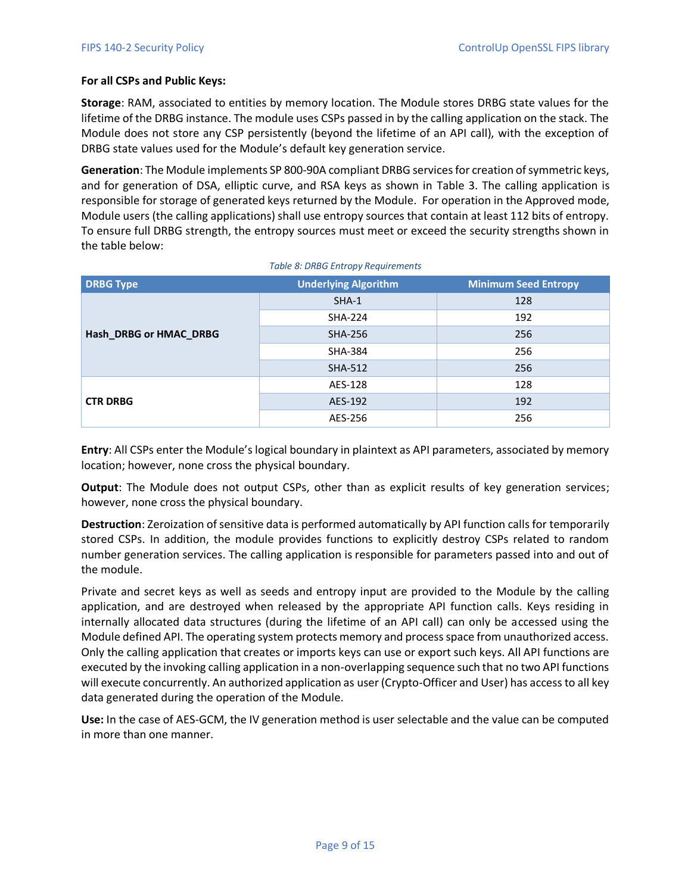#### **For all CSPs and Public Keys:**

**Storage**: RAM, associated to entities by memory location. The Module stores DRBG state values for the lifetime of the DRBG instance. The module uses CSPs passed in by the calling application on the stack. The Module does not store any CSP persistently (beyond the lifetime of an API call), with the exception of DRBG state values used for the Module's default key generation service.

**Generation**: The Module implements SP 800-90A compliant DRBG services for creation of symmetric keys, and for generation of DSA, elliptic curve, and RSA keys as shown in [Table 3.](#page-5-2) The calling application is responsible for storage of generated keys returned by the Module. For operation in the Approved mode, Module users (the calling applications) shall use entropy sources that contain at least 112 bits of entropy. To ensure full DRBG strength, the entropy sources must meet or exceed the security strengths shown in the table below:

| <b>DRBG Type</b>       | <b>Underlying Algorithm</b> | <b>Minimum Seed Entropy</b> |
|------------------------|-----------------------------|-----------------------------|
|                        | $SHA-1$                     | 128                         |
|                        | <b>SHA-224</b>              | 192                         |
| Hash_DRBG or HMAC_DRBG | <b>SHA-256</b>              | 256                         |
|                        | <b>SHA-384</b>              | 256                         |
|                        | <b>SHA-512</b>              | 256                         |
|                        | AES-128                     | 128                         |
| <b>CTR DRBG</b>        | AES-192                     | 192                         |
|                        | AES-256                     | 256                         |

*Table 8: DRBG Entropy Requirements*

**Entry**: All CSPs enter the Module's logical boundary in plaintext as API parameters, associated by memory location; however, none cross the physical boundary.

**Output**: The Module does not output CSPs, other than as explicit results of key generation services; however, none cross the physical boundary.

**Destruction**: Zeroization of sensitive data is performed automatically by API function calls for temporarily stored CSPs. In addition, the module provides functions to explicitly destroy CSPs related to random number generation services. The calling application is responsible for parameters passed into and out of the module.

Private and secret keys as well as seeds and entropy input are provided to the Module by the calling application, and are destroyed when released by the appropriate API function calls. Keys residing in internally allocated data structures (during the lifetime of an API call) can only be accessed using the Module defined API. The operating system protects memory and process space from unauthorized access. Only the calling application that creates or imports keys can use or export such keys. All API functions are executed by the invoking calling application in a non-overlapping sequence such that no two API functions will execute concurrently. An authorized application as user (Crypto-Officer and User) has access to all key data generated during the operation of the Module.

**Use:** In the case of AES-GCM, the IV generation method is user selectable and the value can be computed in more than one manner.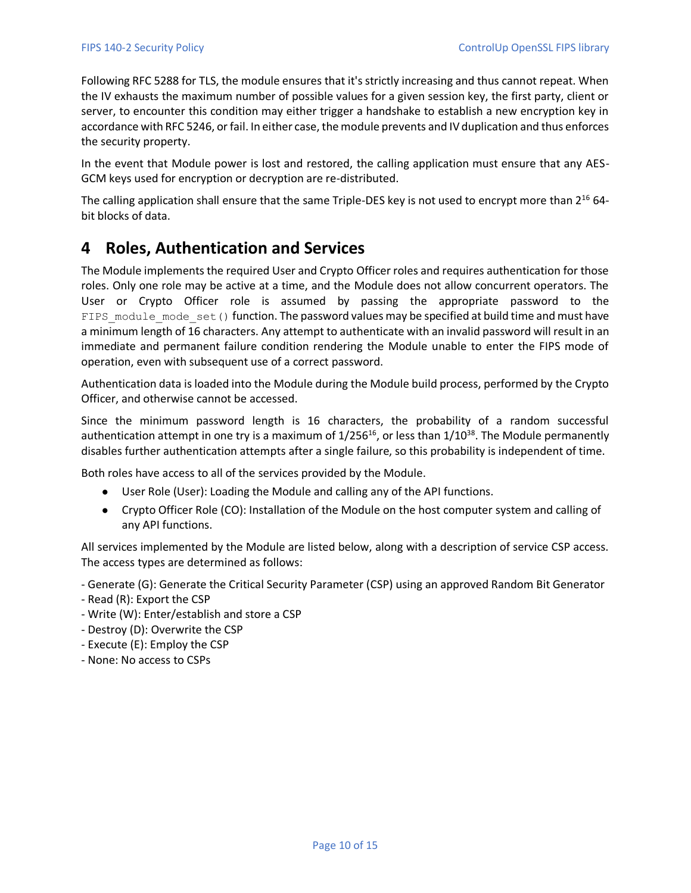Following RFC 5288 for TLS, the module ensures that it's strictly increasing and thus cannot repeat. When the IV exhausts the maximum number of possible values for a given session key, the first party, client or server, to encounter this condition may either trigger a handshake to establish a new encryption key in accordance with RFC 5246, or fail. In either case, the module prevents and IV duplication and thus enforces the security property.

In the event that Module power is lost and restored, the calling application must ensure that any AES-GCM keys used for encryption or decryption are re-distributed.

The calling application shall ensure that the same Triple-DES key is not used to encrypt more than  $2^{16}$  64bit blocks of data.

## <span id="page-9-0"></span>**4 Roles, Authentication and Services**

The Module implements the required User and Crypto Officer roles and requires authentication for those roles. Only one role may be active at a time, and the Module does not allow concurrent operators. The User or Crypto Officer role is assumed by passing the appropriate password to the FIPS module mode set () function. The password values may be specified at build time and must have a minimum length of 16 characters. Any attempt to authenticate with an invalid password will result in an immediate and permanent failure condition rendering the Module unable to enter the FIPS mode of operation, even with subsequent use of a correct password.

Authentication data is loaded into the Module during the Module build process, performed by the Crypto Officer, and otherwise cannot be accessed.

Since the minimum password length is 16 characters, the probability of a random successful authentication attempt in one try is a maximum of  $1/256^{16}$ , or less than  $1/10^{38}$ . The Module permanently disables further authentication attempts after a single failure, so this probability is independent of time.

Both roles have access to all of the services provided by the Module.

- User Role (User): Loading the Module and calling any of the API functions.
- Crypto Officer Role (CO): Installation of the Module on the host computer system and calling of any API functions.

All services implemented by the Module are listed below, along with a description of service CSP access. The access types are determined as follows:

- Generate (G): Generate the Critical Security Parameter (CSP) using an approved Random Bit Generator
- Read (R): Export the CSP
- Write (W): Enter/establish and store a CSP
- Destroy (D): Overwrite the CSP
- Execute (E): Employ the CSP
- None: No access to CSPs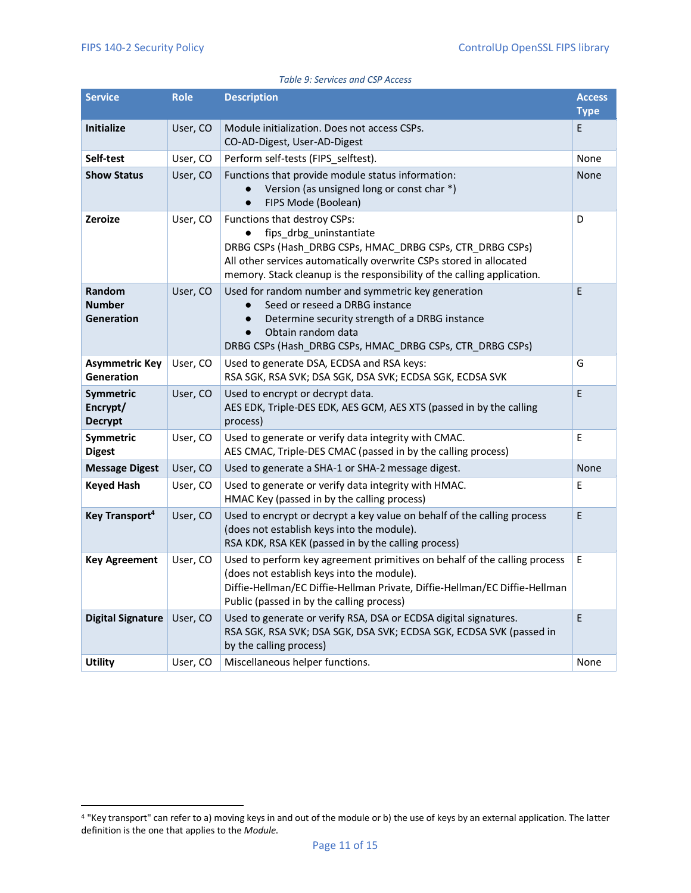| <b>Service</b>                               | <b>Role</b>                                                                                                                                                                                                                                                      | <b>Description</b>                                                                                                                                                                                                                                                     | <b>Access</b><br><b>Type</b> |  |  |
|----------------------------------------------|------------------------------------------------------------------------------------------------------------------------------------------------------------------------------------------------------------------------------------------------------------------|------------------------------------------------------------------------------------------------------------------------------------------------------------------------------------------------------------------------------------------------------------------------|------------------------------|--|--|
| <b>Initialize</b>                            | User, CO                                                                                                                                                                                                                                                         | Module initialization. Does not access CSPs.<br>CO-AD-Digest, User-AD-Digest                                                                                                                                                                                           |                              |  |  |
| Self-test                                    | User, CO                                                                                                                                                                                                                                                         | Perform self-tests (FIPS selftest).                                                                                                                                                                                                                                    |                              |  |  |
| <b>Show Status</b>                           | User, CO                                                                                                                                                                                                                                                         | Functions that provide module status information:<br>Version (as unsigned long or const char *)<br>FIPS Mode (Boolean)<br>$\bullet$                                                                                                                                    |                              |  |  |
| Zeroize                                      | User, CO                                                                                                                                                                                                                                                         | Functions that destroy CSPs:<br>fips drbg uninstantiate<br>DRBG CSPs (Hash DRBG CSPs, HMAC DRBG CSPs, CTR DRBG CSPs)<br>All other services automatically overwrite CSPs stored in allocated<br>memory. Stack cleanup is the responsibility of the calling application. |                              |  |  |
| Random<br><b>Number</b><br><b>Generation</b> | User, CO<br>Used for random number and symmetric key generation<br>Seed or reseed a DRBG instance<br>Determine security strength of a DRBG instance<br>$\bullet$<br>Obtain random data<br>$\bullet$<br>DRBG CSPs (Hash_DRBG CSPs, HMAC_DRBG CSPs, CTR_DRBG CSPs) |                                                                                                                                                                                                                                                                        | E                            |  |  |
| <b>Asymmetric Key</b><br>Generation          | User, CO                                                                                                                                                                                                                                                         | Used to generate DSA, ECDSA and RSA keys:<br>RSA SGK, RSA SVK; DSA SGK, DSA SVK; ECDSA SGK, ECDSA SVK                                                                                                                                                                  | G                            |  |  |
| Symmetric<br>Encrypt/<br><b>Decrypt</b>      | User, CO                                                                                                                                                                                                                                                         | Used to encrypt or decrypt data.<br>AES EDK, Triple-DES EDK, AES GCM, AES XTS (passed in by the calling<br>process)                                                                                                                                                    | E                            |  |  |
| Symmetric<br><b>Digest</b>                   | User, CO                                                                                                                                                                                                                                                         | Used to generate or verify data integrity with CMAC.<br>AES CMAC, Triple-DES CMAC (passed in by the calling process)                                                                                                                                                   | E                            |  |  |
| <b>Message Digest</b>                        | User, CO                                                                                                                                                                                                                                                         | Used to generate a SHA-1 or SHA-2 message digest.                                                                                                                                                                                                                      | None                         |  |  |
| <b>Keyed Hash</b>                            | User, CO                                                                                                                                                                                                                                                         | Used to generate or verify data integrity with HMAC.<br>HMAC Key (passed in by the calling process)                                                                                                                                                                    | E                            |  |  |
| Key Transport <sup>4</sup>                   | User, CO                                                                                                                                                                                                                                                         | Used to encrypt or decrypt a key value on behalf of the calling process<br>(does not establish keys into the module).<br>RSA KDK, RSA KEK (passed in by the calling process)                                                                                           | E                            |  |  |
| <b>Key Agreement</b>                         | User, CO                                                                                                                                                                                                                                                         | Used to perform key agreement primitives on behalf of the calling process<br>(does not establish keys into the module).<br>Diffie-Hellman/EC Diffie-Hellman Private, Diffie-Hellman/EC Diffie-Hellman<br>Public (passed in by the calling process)                     | E.                           |  |  |
| <b>Digital Signature</b>                     | User, CO                                                                                                                                                                                                                                                         | Used to generate or verify RSA, DSA or ECDSA digital signatures.<br>RSA SGK, RSA SVK; DSA SGK, DSA SVK; ECDSA SGK, ECDSA SVK (passed in<br>by the calling process)                                                                                                     | E                            |  |  |
| <b>Utility</b>                               | User, CO                                                                                                                                                                                                                                                         | Miscellaneous helper functions.                                                                                                                                                                                                                                        | None                         |  |  |

*Table 9: Services and CSP Access*

<sup>4</sup> "Key transport" can refer to a) moving keys in and out of the module or b) the use of keys by an external application. The latter definition is the one that applies to the *Module*.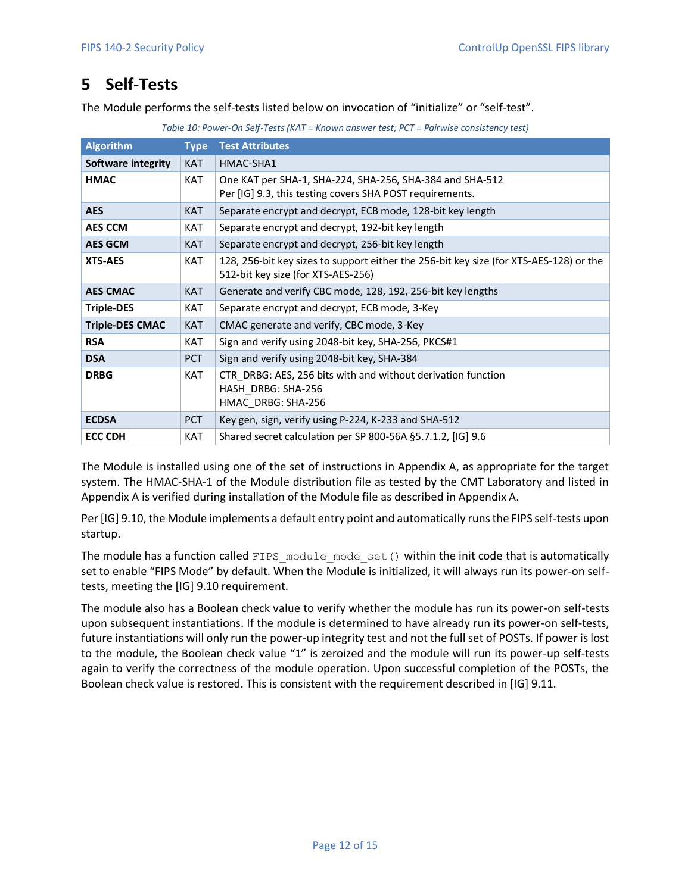## <span id="page-11-0"></span>**5 Self-Tests**

The Module performs the self-tests listed below on invocation of "initialize" or "self-test".

|  |  |  |  |  | Table 10: Power-On Self-Tests (KAT = Known answer test; PCT = Pairwise consistency test) |  |
|--|--|--|--|--|------------------------------------------------------------------------------------------|--|
|  |  |  |  |  |                                                                                          |  |

| <b>Algorithm</b>       | <b>Type</b> | <b>Test Attributes</b>                                                                                                       |
|------------------------|-------------|------------------------------------------------------------------------------------------------------------------------------|
| Software integrity     | <b>KAT</b>  | HMAC-SHA1                                                                                                                    |
| <b>HMAC</b>            | <b>KAT</b>  | One KAT per SHA-1, SHA-224, SHA-256, SHA-384 and SHA-512<br>Per [IG] 9.3, this testing covers SHA POST requirements.         |
| <b>AES</b>             | <b>KAT</b>  | Separate encrypt and decrypt, ECB mode, 128-bit key length                                                                   |
| <b>AES CCM</b>         | <b>KAT</b>  | Separate encrypt and decrypt, 192-bit key length                                                                             |
| <b>AES GCM</b>         | <b>KAT</b>  | Separate encrypt and decrypt, 256-bit key length                                                                             |
| <b>XTS-AES</b>         | <b>KAT</b>  | 128, 256-bit key sizes to support either the 256-bit key size (for XTS-AES-128) or the<br>512-bit key size (for XTS-AES-256) |
| <b>AES CMAC</b>        | <b>KAT</b>  | Generate and verify CBC mode, 128, 192, 256-bit key lengths                                                                  |
| <b>Triple-DES</b>      | <b>KAT</b>  | Separate encrypt and decrypt, ECB mode, 3-Key                                                                                |
| <b>Triple-DES CMAC</b> | <b>KAT</b>  | CMAC generate and verify, CBC mode, 3-Key                                                                                    |
| <b>RSA</b>             | <b>KAT</b>  | Sign and verify using 2048-bit key, SHA-256, PKCS#1                                                                          |
| <b>DSA</b>             | <b>PCT</b>  | Sign and verify using 2048-bit key, SHA-384                                                                                  |
| <b>DRBG</b>            | <b>KAT</b>  | CTR DRBG: AES, 256 bits with and without derivation function<br>HASH DRBG: SHA-256<br>HMAC DRBG: SHA-256                     |
| <b>ECDSA</b>           | <b>PCT</b>  | Key gen, sign, verify using P-224, K-233 and SHA-512                                                                         |
| <b>ECC CDH</b>         | <b>KAT</b>  | Shared secret calculation per SP 800-56A §5.7.1.2, [IG] 9.6                                                                  |

The Module is installed using one of the set of instructions in Appendix A, as appropriate for the target system. The HMAC-SHA-1 of the Module distribution file as tested by the CMT Laboratory and listed in Appendix A is verified during installation of the Module file as described in Appendix A.

Per [IG] 9.10, the Module implements a default entry point and automatically runs the FIPS self-tests upon startup.

The module has a function called FIPS module mode set() within the init code that is automatically set to enable "FIPS Mode" by default. When the Module is initialized, it will always run its power-on selftests, meeting the [IG] 9.10 requirement.

The module also has a Boolean check value to verify whether the module has run its power-on self-tests upon subsequent instantiations. If the module is determined to have already run its power-on self-tests, future instantiations will only run the power-up integrity test and not the full set of POSTs. If power is lost to the module, the Boolean check value "1" is zeroized and the module will run its power-up self-tests again to verify the correctness of the module operation. Upon successful completion of the POSTs, the Boolean check value is restored. This is consistent with the requirement described in [IG] 9.11.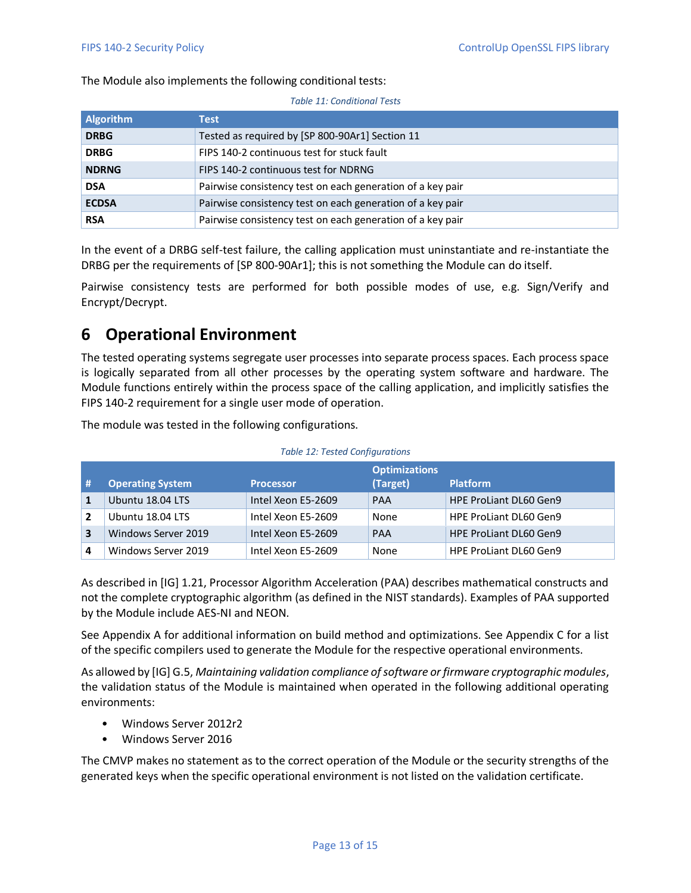The Module also implements the following conditional tests:

| <b>Algorithm</b> | Test                                                       |
|------------------|------------------------------------------------------------|
| <b>DRBG</b>      | Tested as required by [SP 800-90Ar1] Section 11            |
| <b>DRBG</b>      | FIPS 140-2 continuous test for stuck fault                 |
| <b>NDRNG</b>     | FIPS 140-2 continuous test for NDRNG                       |
| <b>DSA</b>       | Pairwise consistency test on each generation of a key pair |
| <b>ECDSA</b>     | Pairwise consistency test on each generation of a key pair |
| <b>RSA</b>       | Pairwise consistency test on each generation of a key pair |

*Table 11: Conditional Tests*

In the event of a DRBG self-test failure, the calling application must uninstantiate and re-instantiate the DRBG per the requirements of [SP 800-90Ar1]; this is not something the Module can do itself.

Pairwise consistency tests are performed for both possible modes of use, e.g. Sign/Verify and Encrypt/Decrypt.

## <span id="page-12-0"></span>**6 Operational Environment**

The tested operating systems segregate user processes into separate process spaces. Each process space is logically separated from all other processes by the operating system software and hardware. The Module functions entirely within the process space of the calling application, and implicitly satisfies the FIPS 140-2 requirement for a single user mode of operation.

The module was tested in the following configurations.

|   | <b>Operating System</b> | <b>Processor</b>   | <b>Optimizations</b><br>(Target) | <b>Platform</b>               |
|---|-------------------------|--------------------|----------------------------------|-------------------------------|
|   | Ubuntu 18.04 LTS        | Intel Xeon E5-2609 | <b>PAA</b>                       | <b>HPE ProLiant DL60 Gen9</b> |
|   | Ubuntu 18.04 LTS        | Intel Xeon E5-2609 | None                             | <b>HPE ProLiant DL60 Gen9</b> |
| 3 | Windows Server 2019     | Intel Xeon E5-2609 | PAA                              | <b>HPE ProLiant DL60 Gen9</b> |
|   | Windows Server 2019     | Intel Xeon E5-2609 | None                             | <b>HPE ProLiant DL60 Gen9</b> |

As described in [IG] 1.21, Processor Algorithm Acceleration (PAA) describes mathematical constructs and not the complete cryptographic algorithm (as defined in the NIST standards). Examples of PAA supported by the Module include AES-NI and NEON.

See Appendix A for additional information on build method and optimizations. See Appendix C for a list of the specific compilers used to generate the Module for the respective operational environments.

As allowed by [IG] G.5, *Maintaining validation compliance of software or firmware cryptographic modules*, the validation status of the Module is maintained when operated in the following additional operating environments:

- Windows Server 2012r2
- Windows Server 2016

The CMVP makes no statement as to the correct operation of the Module or the security strengths of the generated keys when the specific operational environment is not listed on the validation certificate.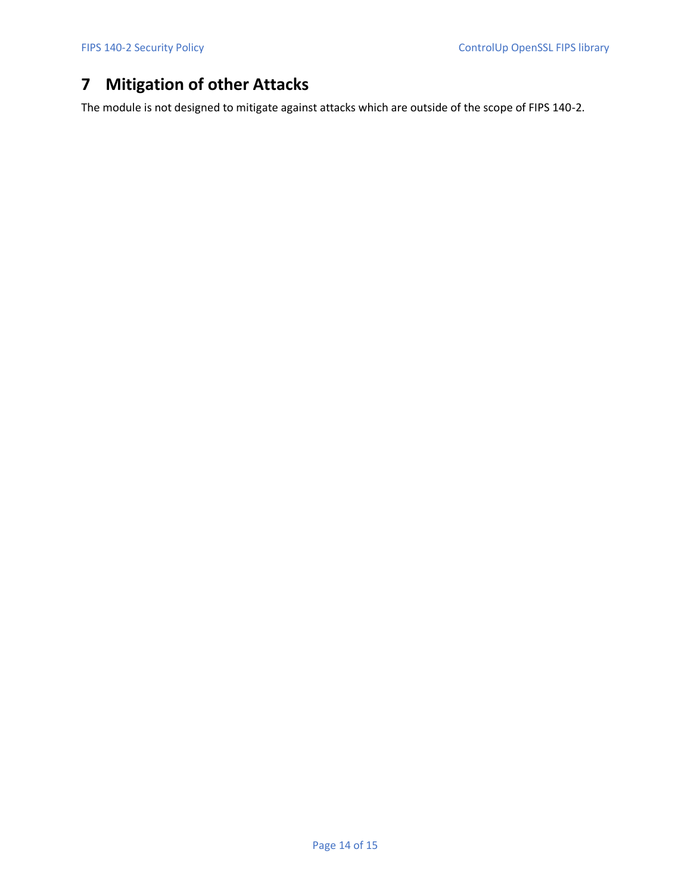# <span id="page-13-0"></span>**7 Mitigation of other Attacks**

The module is not designed to mitigate against attacks which are outside of the scope of FIPS 140-2.